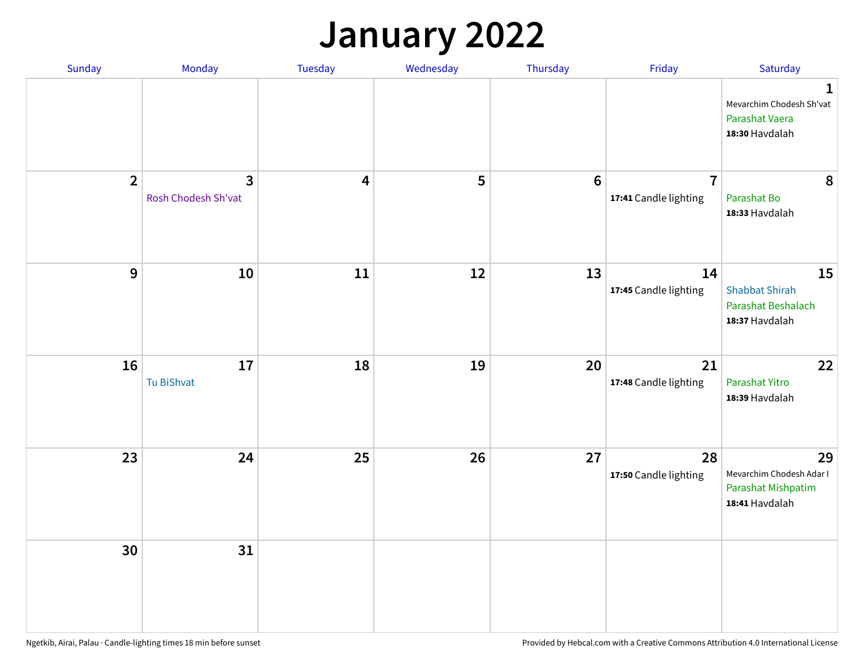## **January 2022**

| Sunday         | Monday                   | Tuesday                 | Wednesday | Thursday        | Friday                                  | Saturday                                                                     |
|----------------|--------------------------|-------------------------|-----------|-----------------|-----------------------------------------|------------------------------------------------------------------------------|
|                |                          |                         |           |                 |                                         | $\mathbf{1}$<br>Mevarchim Chodesh Sh'vat<br>Parashat Vaera<br>18:30 Havdalah |
| $\overline{2}$ | 3<br>Rosh Chodesh Sh'vat | $\overline{\mathbf{4}}$ | 5         | $6\phantom{1}6$ | $\overline{7}$<br>17:41 Candle lighting | 8<br>Parashat Bo<br>18:33 Havdalah                                           |
| $\mathbf 9$    | 10                       | ${\bf 11}$              | 12        | 13              | 14<br>17:45 Candle lighting             | 15<br><b>Shabbat Shirah</b><br>Parashat Beshalach<br>18:37 Havdalah          |
| 16             | 17<br>Tu BiShvat         | 18                      | 19        | 20              | 21<br>17:48 Candle lighting             | 22<br>Parashat Yitro<br>18:39 Havdalah                                       |
| 23             | 24                       | 25                      | 26        | 27              | 28<br>17:50 Candle lighting             | 29<br>Mevarchim Chodesh Adar I<br>Parashat Mishpatim<br>18:41 Havdalah       |
| 30             | 31                       |                         |           |                 |                                         |                                                                              |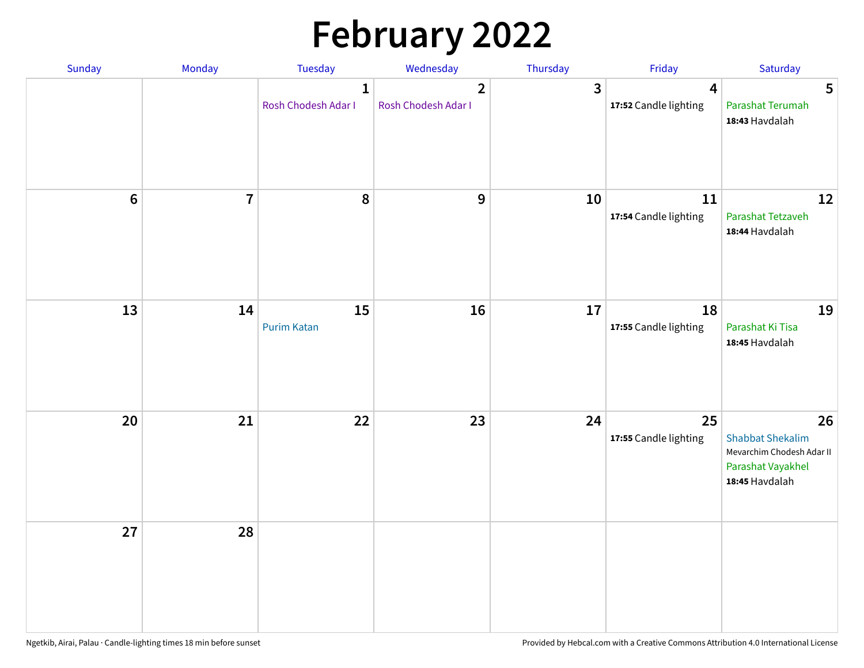# **February 2022**

| Sunday | Monday                  | <b>Tuesday</b>                      | Wednesday                             | Thursday | Friday                                           | Saturday                                                                                          |
|--------|-------------------------|-------------------------------------|---------------------------------------|----------|--------------------------------------------------|---------------------------------------------------------------------------------------------------|
|        |                         | $\mathbf{1}$<br>Rosh Chodesh Adar I | $\overline{2}$<br>Rosh Chodesh Adar I | 3        | $\overline{\mathbf{4}}$<br>17:52 Candle lighting | 5<br>Parashat Terumah<br>18:43 Havdalah                                                           |
| $6\,$  | $\overline{\mathbf{7}}$ | 8                                   | 9                                     | 10       | 11<br>17:54 Candle lighting                      | 12<br>Parashat Tetzaveh<br>18:44 Havdalah                                                         |
| 13     | 14                      | 15<br><b>Purim Katan</b>            | 16                                    | 17       | 18<br>17:55 Candle lighting                      | 19<br>Parashat Ki Tisa<br>18:45 Havdalah                                                          |
| 20     | 21                      | 22                                  | 23                                    | 24       | 25<br>17:55 Candle lighting                      | 26<br><b>Shabbat Shekalim</b><br>Mevarchim Chodesh Adar II<br>Parashat Vayakhel<br>18:45 Havdalah |
| 27     | 28                      |                                     |                                       |          |                                                  |                                                                                                   |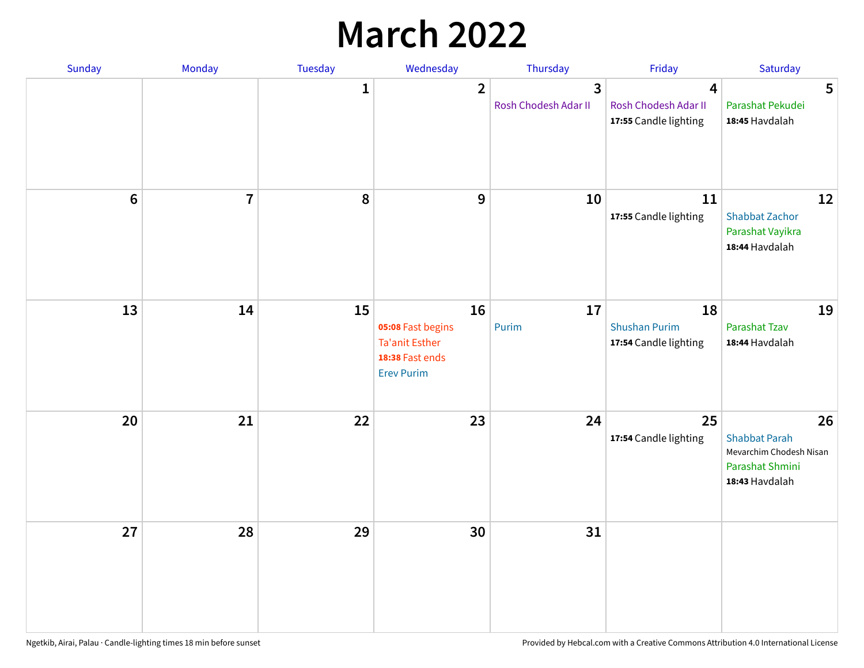## **March 2022**

| Sunday         | Monday         | <b>Tuesday</b> | Wednesday                                                                                | Thursday                  | Friday                                                                   | Saturday                                                                                   |
|----------------|----------------|----------------|------------------------------------------------------------------------------------------|---------------------------|--------------------------------------------------------------------------|--------------------------------------------------------------------------------------------|
|                |                | $\mathbf{1}$   | $\overline{2}$                                                                           | 3<br>Rosh Chodesh Adar II | $\overline{\mathbf{4}}$<br>Rosh Chodesh Adar II<br>17:55 Candle lighting | 5<br>Parashat Pekudei<br>18:45 Havdalah                                                    |
| $6\phantom{1}$ | $\overline{7}$ | 8              | 9                                                                                        | 10                        | 11<br>17:55 Candle lighting                                              | 12<br><b>Shabbat Zachor</b><br>Parashat Vayikra<br>18:44 Havdalah                          |
| 13             | 14             | 15             | 16<br>05:08 Fast begins<br><b>Ta'anit Esther</b><br>18:38 Fast ends<br><b>Erev Purim</b> | 17<br>Purim               | 18<br><b>Shushan Purim</b><br>17:54 Candle lighting                      | 19<br>Parashat Tzav<br>18:44 Havdalah                                                      |
| 20             | 21             | 22             | 23                                                                                       | 24                        | 25<br>17:54 Candle lighting                                              | 26<br><b>Shabbat Parah</b><br>Mevarchim Chodesh Nisan<br>Parashat Shmini<br>18:43 Havdalah |
| 27             | 28             | 29             | 30                                                                                       | 31                        |                                                                          |                                                                                            |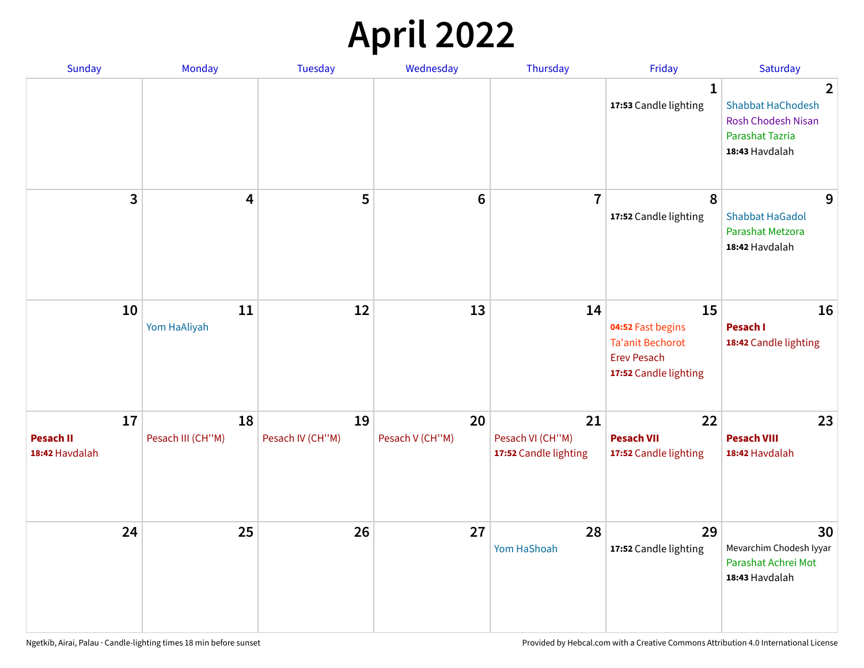## **April 2022**

| Sunday                                   | Monday                  | <b>Tuesday</b>         | Wednesday             | Thursday                                        | Friday                                                                                            | Saturday                                                                                                            |
|------------------------------------------|-------------------------|------------------------|-----------------------|-------------------------------------------------|---------------------------------------------------------------------------------------------------|---------------------------------------------------------------------------------------------------------------------|
|                                          |                         |                        |                       |                                                 | $\mathbf{1}$<br>17:53 Candle lighting                                                             | $\overline{2}$<br><b>Shabbat HaChodesh</b><br><b>Rosh Chodesh Nisan</b><br><b>Parashat Tazria</b><br>18:43 Havdalah |
| 3                                        | $\overline{4}$          | 5                      | $6\phantom{1}6$       | $\overline{7}$                                  | 8<br>17:52 Candle lighting                                                                        | 9<br><b>Shabbat HaGadol</b><br>Parashat Metzora<br>18:42 Havdalah                                                   |
| 10                                       | 11<br>Yom HaAliyah      | 12                     | 13                    | 14                                              | 15<br>04:52 Fast begins<br><b>Ta'anit Bechorot</b><br><b>Erev Pesach</b><br>17:52 Candle lighting | 16<br>Pesach I<br>18:42 Candle lighting                                                                             |
| 17<br><b>Pesach II</b><br>18:42 Havdalah | 18<br>Pesach III (CH"M) | 19<br>Pesach IV (CH"M) | 20<br>Pesach V (CH"M) | 21<br>Pesach VI (CH"M)<br>17:52 Candle lighting | 22<br><b>Pesach VII</b><br>17:52 Candle lighting                                                  | 23<br><b>Pesach VIII</b><br>18:42 Havdalah                                                                          |
| 24                                       | 25                      | 26                     | 27                    | 28<br>Yom HaShoah                               | 29<br>17:52 Candle lighting                                                                       | 30<br>Mevarchim Chodesh Iyyar<br>Parashat Achrei Mot<br>18:43 Havdalah                                              |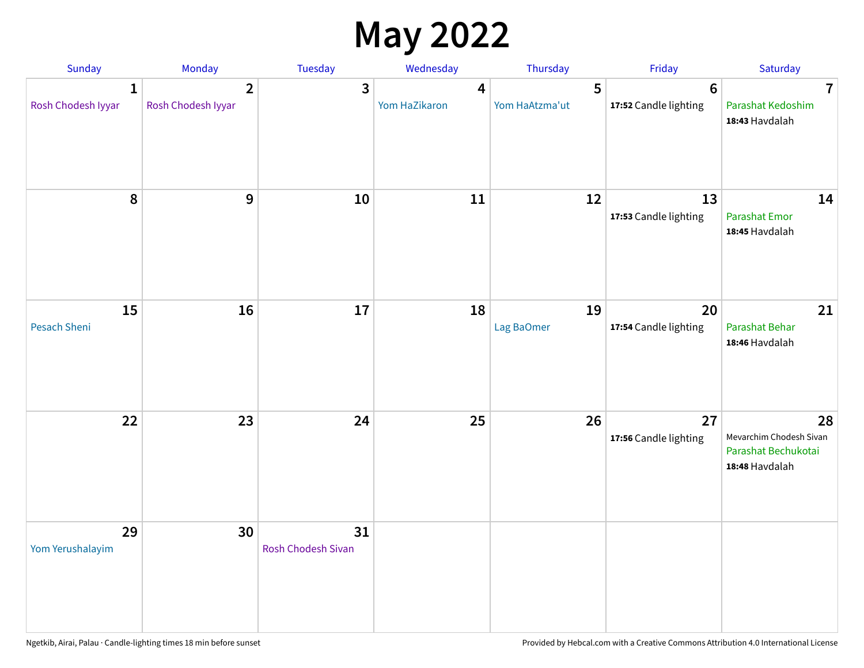## **May 2022**

| Sunday                             | Monday                               | Tuesday                         | Wednesday          | Thursday            | Friday                                   | Saturday                                                               |
|------------------------------------|--------------------------------------|---------------------------------|--------------------|---------------------|------------------------------------------|------------------------------------------------------------------------|
| $\mathbf{1}$<br>Rosh Chodesh Iyyar | $\overline{2}$<br>Rosh Chodesh Iyyar | 3                               | 4<br>Yom HaZikaron | 5<br>Yom HaAtzma'ut | $6\phantom{1}6$<br>17:52 Candle lighting | $\overline{7}$<br>Parashat Kedoshim<br>18:43 Havdalah                  |
| $\pmb{8}$                          | $\mathbf{9}$                         | 10                              | 11                 | 12                  | 13<br>17:53 Candle lighting              | 14<br><b>Parashat Emor</b><br>18:45 Havdalah                           |
| 15<br>Pesach Sheni                 | 16                                   | 17                              | 18                 | 19<br>Lag BaOmer    | 20<br>17:54 Candle lighting              | 21<br>Parashat Behar<br>18:46 Havdalah                                 |
| 22                                 | 23                                   | 24                              | 25                 | 26                  | 27<br>17:56 Candle lighting              | 28<br>Mevarchim Chodesh Sivan<br>Parashat Bechukotai<br>18:48 Havdalah |
| 29<br>Yom Yerushalayim             | 30                                   | 31<br><b>Rosh Chodesh Sivan</b> |                    |                     |                                          |                                                                        |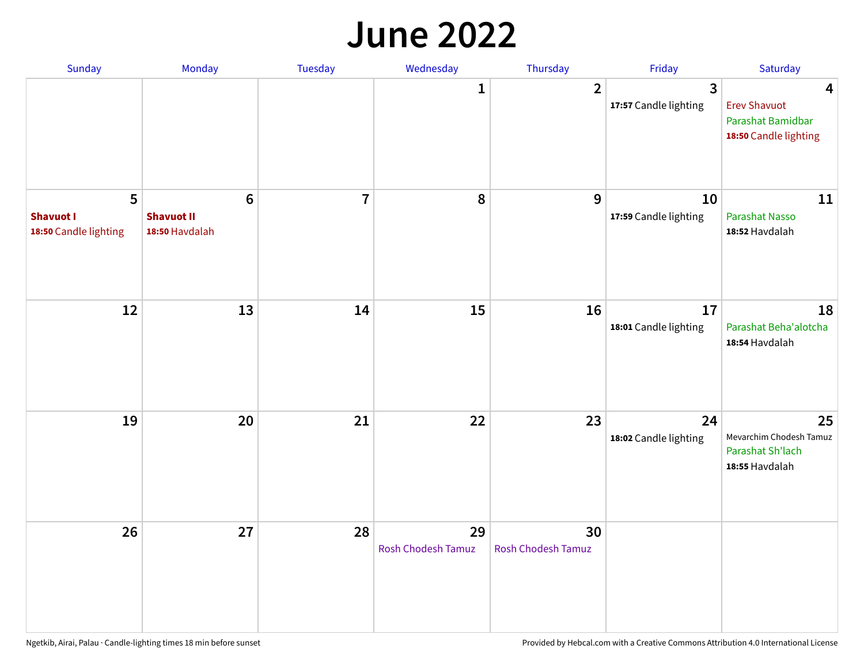#### **June 2022**

| Sunday                                         | Monday                                                | Tuesday        | Wednesday                | Thursday                        | Friday                      | Saturday                                                               |
|------------------------------------------------|-------------------------------------------------------|----------------|--------------------------|---------------------------------|-----------------------------|------------------------------------------------------------------------|
|                                                |                                                       |                | 1                        | $\overline{2}$                  | 3<br>17:57 Candle lighting  | 4<br><b>Erev Shavuot</b><br>Parashat Bamidbar<br>18:50 Candle lighting |
| 5<br><b>Shavuot I</b><br>18:50 Candle lighting | $6\phantom{1}$<br><b>Shavuot II</b><br>18:50 Havdalah | $\overline{7}$ | 8                        | 9                               | 10<br>17:59 Candle lighting | 11<br><b>Parashat Nasso</b><br>18:52 Havdalah                          |
| 12                                             | 13                                                    | 14             | 15                       | 16                              | 17<br>18:01 Candle lighting | 18<br>Parashat Beha'alotcha<br>18:54 Havdalah                          |
| 19                                             | 20                                                    | 21             | 22                       | 23                              | 24<br>18:02 Candle lighting | 25<br>Mevarchim Chodesh Tamuz<br>Parashat Sh'lach<br>18:55 Havdalah    |
| 26                                             | 27                                                    | 28             | 29<br>Rosh Chodesh Tamuz | 30<br><b>Rosh Chodesh Tamuz</b> |                             |                                                                        |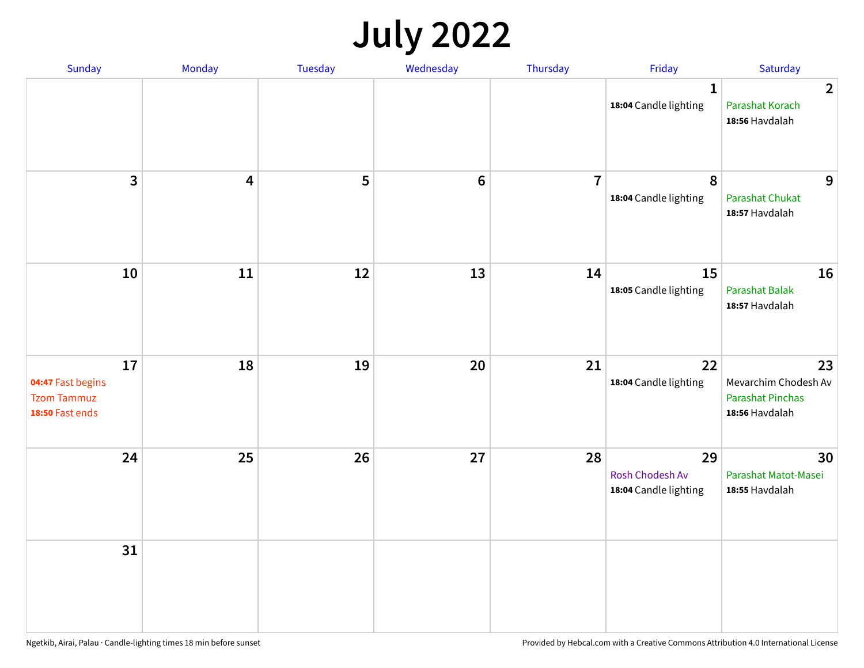## **July 2022**

| Sunday                                                           | Monday | Tuesday | Wednesday | Thursday       | Friday                                         | Saturday                                                                |
|------------------------------------------------------------------|--------|---------|-----------|----------------|------------------------------------------------|-------------------------------------------------------------------------|
|                                                                  |        |         |           |                | $\mathbf{1}$<br>18:04 Candle lighting          | $\overline{2}$<br>Parashat Korach<br>18:56 Havdalah                     |
| $\mathbf{3}$                                                     | 4      | 5       | $\bf 6$   | $\overline{7}$ | 8<br>18:04 Candle lighting                     | 9<br>Parashat Chukat<br>18:57 Havdalah                                  |
| 10                                                               | 11     | 12      | 13        | 14             | 15<br>18:05 Candle lighting                    | 16<br>Parashat Balak<br>18:57 Havdalah                                  |
| 17<br>04:47 Fast begins<br><b>Tzom Tammuz</b><br>18:50 Fast ends | 18     | 19      | 20        | 21             | 22<br>18:04 Candle lighting                    | 23<br>Mevarchim Chodesh Av<br><b>Parashat Pinchas</b><br>18:56 Havdalah |
| 24                                                               | 25     | 26      | 27        | 28             | 29<br>Rosh Chodesh Av<br>18:04 Candle lighting | 30<br>Parashat Matot-Masei<br>18:55 Havdalah                            |
| 31                                                               |        |         |           |                |                                                |                                                                         |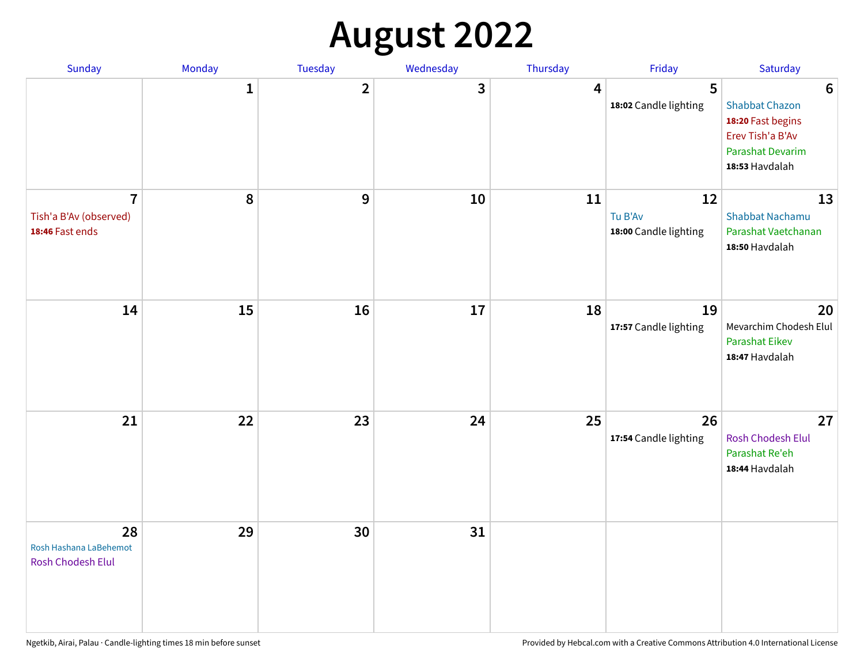## **August 2022**

| Sunday                                                      | Monday       | Tuesday                 | Wednesday | Thursday | Friday                                 | Saturday                                                                                                                       |
|-------------------------------------------------------------|--------------|-------------------------|-----------|----------|----------------------------------------|--------------------------------------------------------------------------------------------------------------------------------|
|                                                             | $\mathbf{1}$ | $\overline{\mathbf{2}}$ | 3         | 4        | 5<br>18:02 Candle lighting             | $6\phantom{1}6$<br><b>Shabbat Chazon</b><br>18:20 Fast begins<br>Erev Tish'a B'Av<br><b>Parashat Devarim</b><br>18:53 Havdalah |
| $\overline{7}$<br>Tish'a B'Av (observed)<br>18:46 Fast ends | 8            | 9                       | 10        | 11       | 12<br>Tu B'Av<br>18:00 Candle lighting | 13<br><b>Shabbat Nachamu</b><br>Parashat Vaetchanan<br>18:50 Havdalah                                                          |
| 14                                                          | 15           | 16                      | 17        | 18       | 19<br>17:57 Candle lighting            | 20<br>Mevarchim Chodesh Elul<br><b>Parashat Eikev</b><br>18:47 Havdalah                                                        |
| 21                                                          | 22           | 23                      | 24        | 25       | 26<br>17:54 Candle lighting            | 27<br><b>Rosh Chodesh Elul</b><br>Parashat Re'eh<br>18:44 Havdalah                                                             |
| 28<br>Rosh Hashana LaBehemot<br>Rosh Chodesh Elul           | 29           | 30                      | 31        |          |                                        |                                                                                                                                |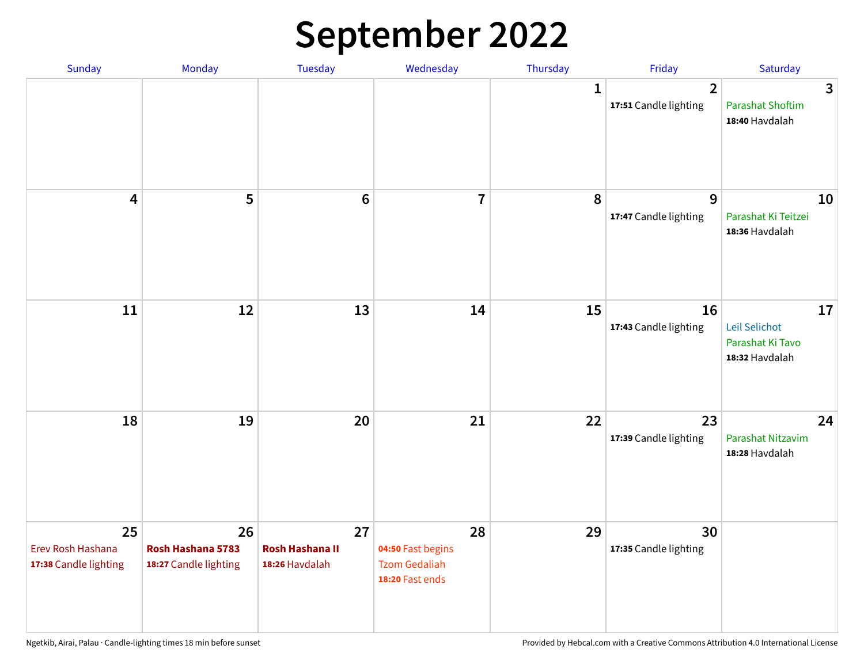## **September 2022**

| Sunday                                           | Monday                                           | Tuesday                                        | Wednesday                                                          | Thursday     | Friday                                  | Saturday                                                  |
|--------------------------------------------------|--------------------------------------------------|------------------------------------------------|--------------------------------------------------------------------|--------------|-----------------------------------------|-----------------------------------------------------------|
|                                                  |                                                  |                                                |                                                                    | $\mathbf{1}$ | $\overline{2}$<br>17:51 Candle lighting | 3<br><b>Parashat Shoftim</b><br>18:40 Havdalah            |
| $\overline{\mathbf{4}}$                          | 5                                                | $6\phantom{1}6$                                | $\overline{7}$                                                     | 8            | 9<br>17:47 Candle lighting              | 10<br>Parashat Ki Teitzei<br>18:36 Havdalah               |
| $11\,$                                           | 12                                               | 13                                             | 14                                                                 | 15           | 16<br>17:43 Candle lighting             | 17<br>Leil Selichot<br>Parashat Ki Tavo<br>18:32 Havdalah |
| 18                                               | 19                                               | 20                                             | 21                                                                 | 22           | 23<br>17:39 Candle lighting             | 24<br>Parashat Nitzavim<br>18:28 Havdalah                 |
| 25<br>Erev Rosh Hashana<br>17:38 Candle lighting | 26<br>Rosh Hashana 5783<br>18:27 Candle lighting | 27<br><b>Rosh Hashana II</b><br>18:26 Havdalah | 28<br>04:50 Fast begins<br><b>Tzom Gedaliah</b><br>18:20 Fast ends | 29           | 30<br>17:35 Candle lighting             |                                                           |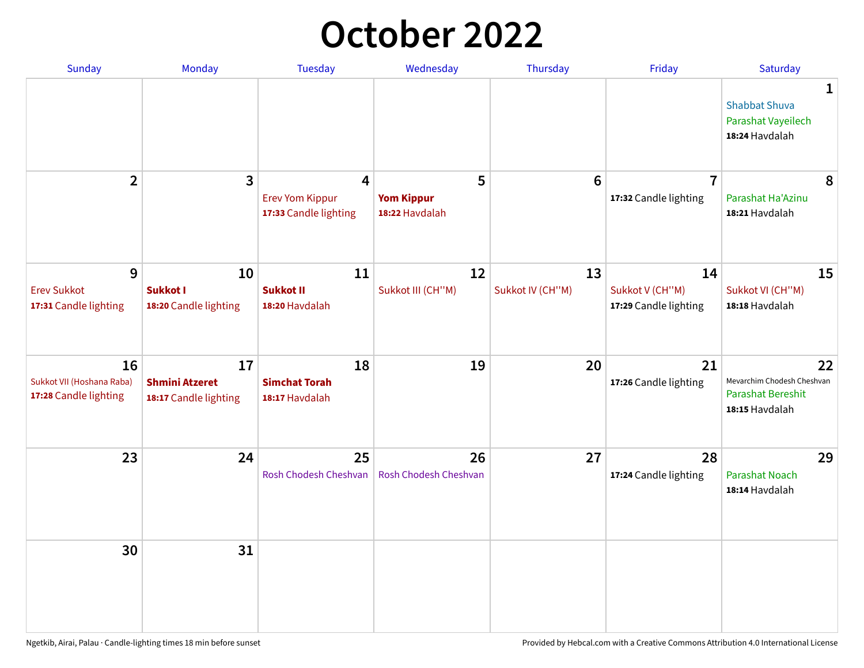## **October 2022**

| <b>Sunday</b>                                            | Monday                                               | <b>Tuesday</b>                                       | Wednesday                                | Thursday               | Friday                                         | Saturday                                                                     |
|----------------------------------------------------------|------------------------------------------------------|------------------------------------------------------|------------------------------------------|------------------------|------------------------------------------------|------------------------------------------------------------------------------|
|                                                          |                                                      |                                                      |                                          |                        |                                                | $\mathbf{1}$<br><b>Shabbat Shuva</b><br>Parashat Vayeilech<br>18:24 Havdalah |
| $\overline{2}$                                           | $\mathbf{3}$                                         | 4<br><b>Erev Yom Kippur</b><br>17:33 Candle lighting | 5<br><b>Yom Kippur</b><br>18:22 Havdalah | $6\phantom{1}6$        | $\overline{7}$<br>17:32 Candle lighting        | 8<br>Parashat Ha'Azinu<br>18:21 Havdalah                                     |
| 9<br><b>Erev Sukkot</b><br>17:31 Candle lighting         | 10<br><b>Sukkot I</b><br>18:20 Candle lighting       | 11<br><b>Sukkot II</b><br>18:20 Havdalah             | 12<br>Sukkot III (CH"M)                  | 13<br>Sukkot IV (CH"M) | 14<br>Sukkot V (CH"M)<br>17:29 Candle lighting | 15<br>Sukkot VI (CH"M)<br>18:18 Havdalah                                     |
| 16<br>Sukkot VII (Hoshana Raba)<br>17:28 Candle lighting | 17<br><b>Shmini Atzeret</b><br>18:17 Candle lighting | 18<br><b>Simchat Torah</b><br>18:17 Havdalah         | 19                                       | 20                     | 21<br>17:26 Candle lighting                    | 22<br>Mevarchim Chodesh Cheshvan<br>Parashat Bereshit<br>18:15 Havdalah      |
| 23                                                       | 24                                                   | 25<br>Rosh Chodesh Cheshvan                          | 26<br>Rosh Chodesh Cheshvan              | 27                     | 28<br>17:24 Candle lighting                    | 29<br><b>Parashat Noach</b><br>18:14 Havdalah                                |
| 30                                                       | 31                                                   |                                                      |                                          |                        |                                                |                                                                              |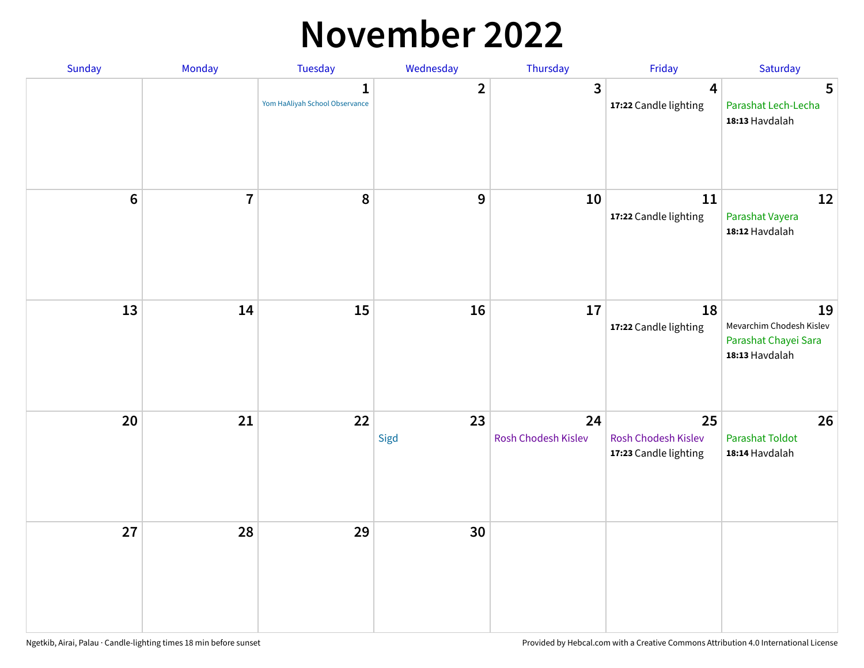#### **November 2022**

| Sunday  | Monday         | Tuesday                             | Wednesday      | Thursday                  | Friday                                             | Saturday                                                                 |
|---------|----------------|-------------------------------------|----------------|---------------------------|----------------------------------------------------|--------------------------------------------------------------------------|
|         |                | 1<br>Yom HaAliyah School Observance | $\overline{2}$ | 3                         | $\overline{\mathbf{4}}$<br>17:22 Candle lighting   | $5\phantom{1}$<br>Parashat Lech-Lecha<br>18:13 Havdalah                  |
| $\bf 6$ | $\overline{7}$ | 8                                   | $\mathbf 9$    | 10                        | 11<br>17:22 Candle lighting                        | 12<br>Parashat Vayera<br>18:12 Havdalah                                  |
| 13      | 14             | 15                                  | 16             | 17                        | 18<br>17:22 Candle lighting                        | 19<br>Mevarchim Chodesh Kislev<br>Parashat Chayei Sara<br>18:13 Havdalah |
| 20      | 21             | 22                                  | 23<br>Sigd     | 24<br>Rosh Chodesh Kislev | 25<br>Rosh Chodesh Kislev<br>17:23 Candle lighting | 26<br><b>Parashat Toldot</b><br>18:14 Havdalah                           |
| 27      | 28             | 29                                  | 30             |                           |                                                    |                                                                          |